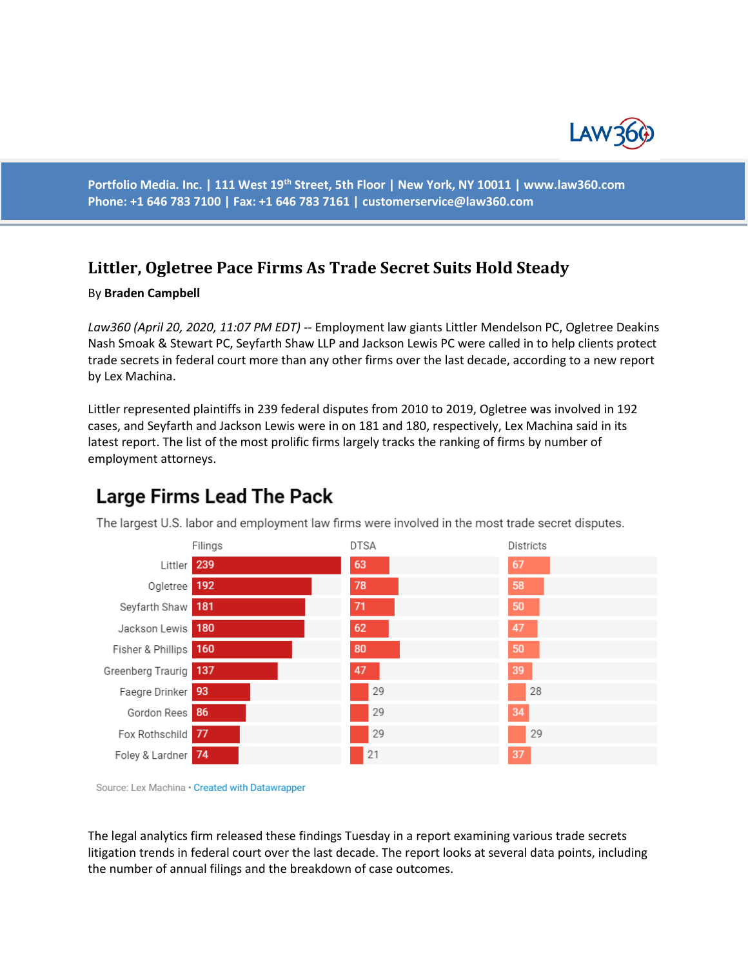

**Portfolio Media. Inc. | 111 West 19th Street, 5th Floor | New York, NY 10011 | www.law360.com Phone: +1 646 783 7100 | Fax: +1 646 783 7161 | [customerservice@law360.com](mailto:customerservice@law360.com)**

#### **Littler, Ogletree Pace Firms As Trade Secret Suits Hold Steady**

#### By **Braden Campbell**

*Law360 (April 20, 2020, 11:07 PM EDT) --* Employment law giants Littler Mendelson PC, Ogletree Deakins Nash Smoak & Stewart PC, Seyfarth Shaw LLP and Jackson Lewis PC were called in to help clients protect trade secrets in federal court more than any other firms over the last decade, according to a new report by Lex Machina.

Littler represented plaintiffs in 239 federal disputes from 2010 to 2019, Ogletree was involved in 192 cases, and Seyfarth and Jackson Lewis were in on 181 and 180, respectively, Lex Machina said in its latest report. The list of the most prolific firms largely tracks the ranking of firms by number of employment attorneys.



# **Large Firms Lead The Pack**

Source: Lex Machina . Created with Datawrapper

The legal analytics firm released these findings Tuesday in a report examining various trade secrets litigation trends in federal court over the last decade. The report looks at several data points, including the number of annual filings and the breakdown of case outcomes.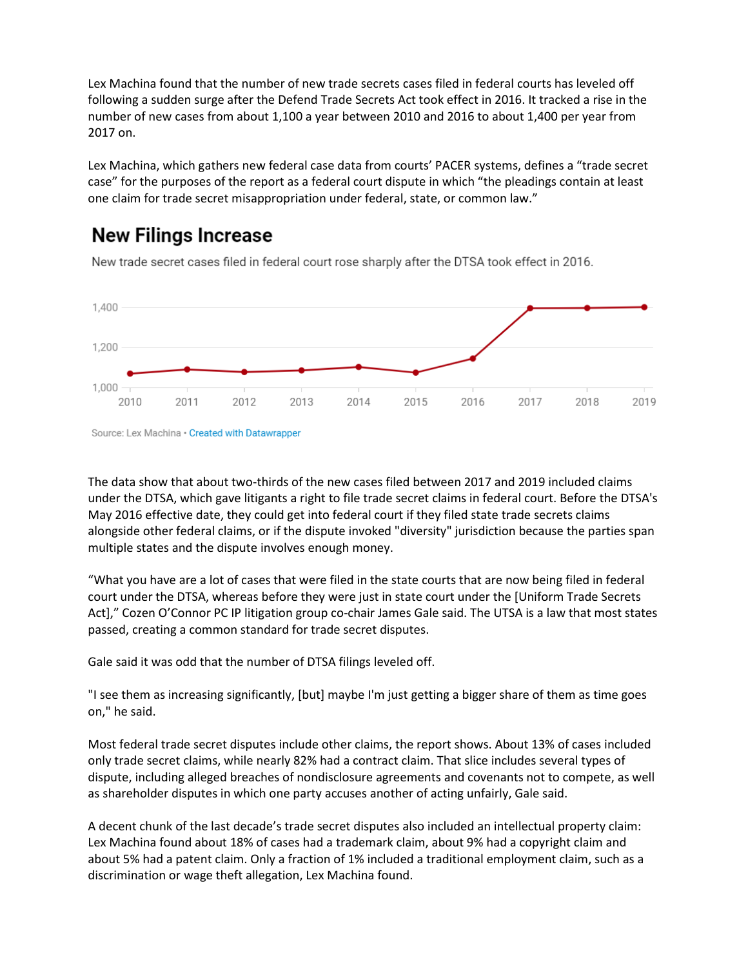Lex Machina found that the number of new trade secrets cases filed in federal courts has leveled off following a sudden surge after the Defend Trade Secrets Act took effect in 2016. It tracked a rise in the number of new cases from about 1,100 a year between 2010 and 2016 to about 1,400 per year from 2017 on.

Lex Machina, which gathers new federal case data from courts' PACER systems, defines a "trade secret case" for the purposes of the report as a federal court dispute in which "the pleadings contain at least one claim for trade secret misappropriation under federal, state, or common law."

### **New Filings Increase**

1,400 1,200  $1,000 -$ 2010 2011 2012 2013 2014 2015 2016 2017 2018 2019

New trade secret cases filed in federal court rose sharply after the DTSA took effect in 2016.

Source: Lex Machina · Created with Datawrapper

The data show that about two-thirds of the new cases filed between 2017 and 2019 included claims under the DTSA, which gave litigants a right to file trade secret claims in federal court. Before the DTSA's May 2016 effective date, they could get into federal court if they filed state trade secrets claims alongside other federal claims, or if the dispute invoked "diversity" jurisdiction because the parties span multiple states and the dispute involves enough money.

"What you have are a lot of cases that were filed in the state courts that are now being filed in federal court under the DTSA, whereas before they were just in state court under the [Uniform Trade Secrets Act]," Cozen O'Connor PC IP litigation group co-chair James Gale said. The UTSA is a law that most states passed, creating a common standard for trade secret disputes.

Gale said it was odd that the number of DTSA filings leveled off.

"I see them as increasing significantly, [but] maybe I'm just getting a bigger share of them as time goes on," he said.

Most federal trade secret disputes include other claims, the report shows. About 13% of cases included only trade secret claims, while nearly 82% had a contract claim. That slice includes several types of dispute, including alleged breaches of nondisclosure agreements and covenants not to compete, as well as shareholder disputes in which one party accuses another of acting unfairly, Gale said.

A decent chunk of the last decade's trade secret disputes also included an intellectual property claim: Lex Machina found about 18% of cases had a trademark claim, about 9% had a copyright claim and about 5% had a patent claim. Only a fraction of 1% included a traditional employment claim, such as a discrimination or wage theft allegation, Lex Machina found.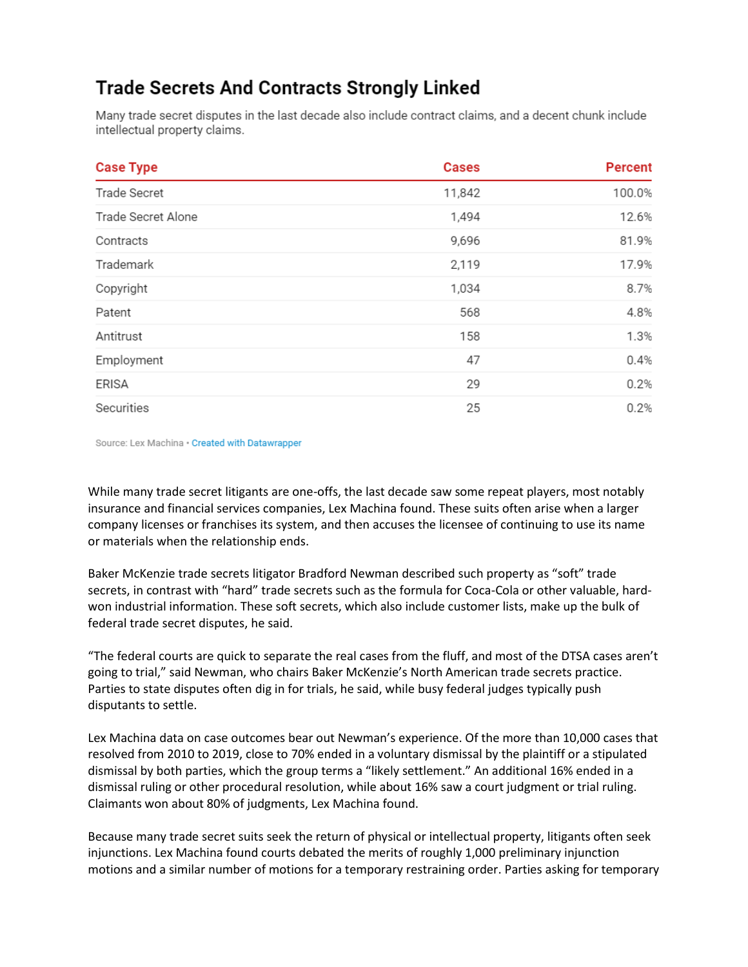## **Trade Secrets And Contracts Strongly Linked**

Many trade secret disputes in the last decade also include contract claims, and a decent chunk include intellectual property claims.

| <b>Case Type</b>    | <b>Cases</b> | <b>Percent</b> |
|---------------------|--------------|----------------|
| <b>Trade Secret</b> | 11,842       | 100.0%         |
| Trade Secret Alone  | 1,494        | 12.6%          |
| Contracts           | 9,696        | 81.9%          |
| Trademark           | 2,119        | 17.9%          |
| Copyright           | 1,034        | 8.7%           |
| Patent              | 568          | 4.8%           |
| Antitrust           | 158          | 1.3%           |
| Employment          | 47           | 0.4%           |
| <b>ERISA</b>        | 29           | 0.2%           |
| Securities          | 25           | 0.2%           |

Source: Lex Machina · Created with Datawrapper

While many trade secret litigants are one-offs, the last decade saw some repeat players, most notably insurance and financial services companies, Lex Machina found. These suits often arise when a larger company licenses or franchises its system, and then accuses the licensee of continuing to use its name or materials when the relationship ends.

Baker McKenzie trade secrets litigator Bradford Newman described such property as "soft" trade secrets, in contrast with "hard" trade secrets such as the formula for Coca-Cola or other valuable, hardwon industrial information. These soft secrets, which also include customer lists, make up the bulk of federal trade secret disputes, he said.

"The federal courts are quick to separate the real cases from the fluff, and most of the DTSA cases aren't going to trial," said Newman, who chairs Baker McKenzie's North American trade secrets practice. Parties to state disputes often dig in for trials, he said, while busy federal judges typically push disputants to settle.

Lex Machina data on case outcomes bear out Newman's experience. Of the more than 10,000 cases that resolved from 2010 to 2019, close to 70% ended in a voluntary dismissal by the plaintiff or a stipulated dismissal by both parties, which the group terms a "likely settlement." An additional 16% ended in a dismissal ruling or other procedural resolution, while about 16% saw a court judgment or trial ruling. Claimants won about 80% of judgments, Lex Machina found.

Because many trade secret suits seek the return of physical or intellectual property, litigants often seek injunctions. Lex Machina found courts debated the merits of roughly 1,000 preliminary injunction motions and a similar number of motions for a temporary restraining order. Parties asking for temporary